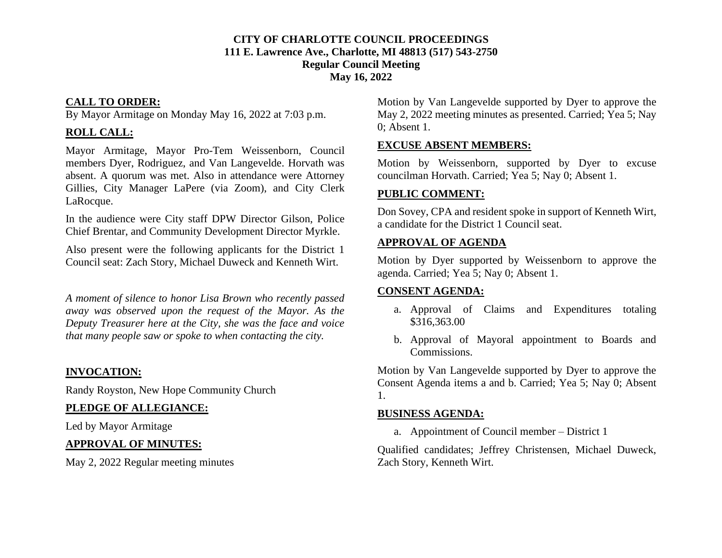#### **CITY OF CHARLOTTE COUNCIL PROCEEDINGS 111 E. Lawrence Ave., Charlotte, MI 48813 (517) 543-2750 Regular Council Meeting May 16, 2022**

#### **CALL TO ORDER:**

By Mayor Armitage on Monday May 16, 2022 at 7:03 p.m.

# **ROLL CALL:**

Mayor Armitage, Mayor Pro-Tem Weissenborn, Council members Dyer, Rodriguez, and Van Langevelde. Horvath was absent. A quorum was met. Also in attendance were Attorney Gillies, City Manager LaPere (via Zoom), and City Clerk LaRocque.

In the audience were City staff DPW Director Gilson, Police Chief Brentar, and Community Development Director Myrkle.

Also present were the following applicants for the District 1 Council seat: Zach Story, Michael Duweck and Kenneth Wirt.

*A moment of silence to honor Lisa Brown who recently passed away was observed upon the request of the Mayor. As the Deputy Treasurer here at the City, she was the face and voice that many people saw or spoke to when contacting the city.*

# **INVOCATION:**

Randy Royston, New Hope Community Church

# **PLEDGE OF ALLEGIANCE:**

Led by Mayor Armitage

# **APPROVAL OF MINUTES:**

May 2, 2022 Regular meeting minutes

Motion by Van Langevelde supported by Dyer to approve the May 2, 2022 meeting minutes as presented. Carried; Yea 5; Nay 0; Absent 1.

# **EXCUSE ABSENT MEMBERS:**

Motion by Weissenborn, supported by Dyer to excuse councilman Horvath. Carried; Yea 5; Nay 0; Absent 1.

# **PUBLIC COMMENT:**

Don Sovey, CPA and resident spoke in support of Kenneth Wirt, a candidate for the District 1 Council seat.

## **APPROVAL OF AGENDA**

Motion by Dyer supported by Weissenborn to approve the agenda. Carried; Yea 5; Nay 0; Absent 1.

# **CONSENT AGENDA:**

- a. Approval of Claims and Expenditures totaling \$316,363.00
- b. Approval of Mayoral appointment to Boards and Commissions.

Motion by Van Langevelde supported by Dyer to approve the Consent Agenda items a and b. Carried; Yea 5; Nay 0; Absent 1.

# **BUSINESS AGENDA:**

a. Appointment of Council member – District 1

Qualified candidates; Jeffrey Christensen, Michael Duweck, Zach Story, Kenneth Wirt.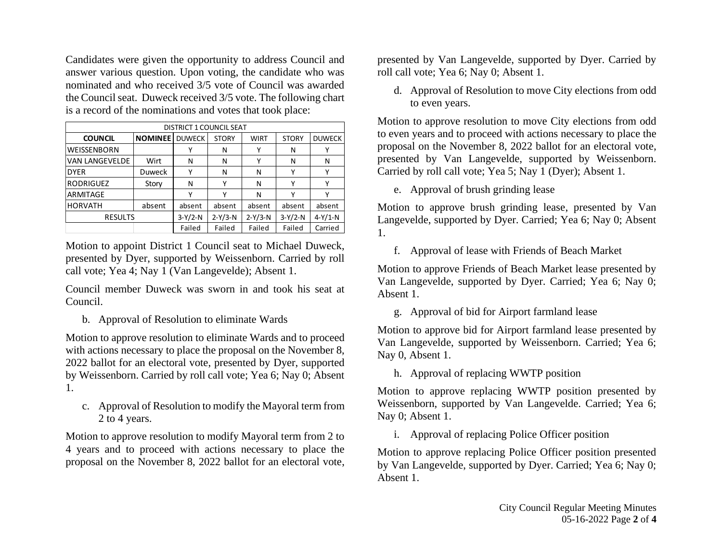Candidates were given the opportunity to address Council and answer various question. Upon voting, the candidate who was nominated and who received 3/5 vote of Council was awarded the Council seat. Duweck received 3/5 vote. The following chart is a record of the nominations and votes that took place:

| DISTRICT 1 COUNCIL SEAT |                |               |              |             |              |               |
|-------------------------|----------------|---------------|--------------|-------------|--------------|---------------|
| <b>COUNCIL</b>          | <b>NOMINEE</b> | <b>DUWECK</b> | <b>STORY</b> | <b>WIRT</b> | <b>STORY</b> | <b>DUWECK</b> |
| WEISSENBORN             |                |               | N            |             | N            | Υ             |
| VAN LANGEVELDE          | Wirt           | N             | N            | v           | N            | N             |
| <b>DYER</b>             | <b>Duweck</b>  | ٧             | N            | N           | ٧            | Υ             |
| <b>RODRIGUEZ</b>        | Story          | N             | Υ            | N           | ٧            | Υ             |
| ARMITAGE                |                | v             | γ            | N           | v            |               |
| <b>HORVATH</b>          | absent         | absent        | absent       | absent      | absent       | absent        |
| <b>RESULTS</b>          |                | $3-Y/2-N$     | $2-Y/3-N$    | $2-Y/3-N$   | $3-Y/2-N$    | $4-Y/1-N$     |
|                         |                | Failed        | Failed       | Failed      | Failed       | Carried       |

Motion to appoint District 1 Council seat to Michael Duweck, presented by Dyer, supported by Weissenborn. Carried by roll call vote; Yea 4; Nay 1 (Van Langevelde); Absent 1.

Council member Duweck was sworn in and took his seat at Council.

b. Approval of Resolution to eliminate Wards

Motion to approve resolution to eliminate Wards and to proceed with actions necessary to place the proposal on the November 8, 2022 ballot for an electoral vote, presented by Dyer, supported by Weissenborn. Carried by roll call vote; Yea 6; Nay 0; Absent 1.

c. Approval of Resolution to modify the Mayoral term from 2 to 4 years.

Motion to approve resolution to modify Mayoral term from 2 to 4 years and to proceed with actions necessary to place the proposal on the November 8, 2022 ballot for an electoral vote, presented by Van Langevelde, supported by Dyer. Carried by roll call vote; Yea 6; Nay 0; Absent 1.

d. Approval of Resolution to move City elections from odd to even years.

Motion to approve resolution to move City elections from odd to even years and to proceed with actions necessary to place the proposal on the November 8, 2022 ballot for an electoral vote, presented by Van Langevelde, supported by Weissenborn. Carried by roll call vote; Yea 5; Nay 1 (Dyer); Absent 1.

e. Approval of brush grinding lease

Motion to approve brush grinding lease, presented by Van Langevelde, supported by Dyer. Carried; Yea 6; Nay 0; Absent 1.

f. Approval of lease with Friends of Beach Market

Motion to approve Friends of Beach Market lease presented by Van Langevelde, supported by Dyer. Carried; Yea 6; Nay 0; Absent 1.

g. Approval of bid for Airport farmland lease

Motion to approve bid for Airport farmland lease presented by Van Langevelde, supported by Weissenborn. Carried; Yea 6; Nay 0, Absent 1.

h. Approval of replacing WWTP position

Motion to approve replacing WWTP position presented by Weissenborn, supported by Van Langevelde. Carried; Yea 6; Nay 0; Absent 1.

i. Approval of replacing Police Officer position

Motion to approve replacing Police Officer position presented by Van Langevelde, supported by Dyer. Carried; Yea 6; Nay 0; Absent 1.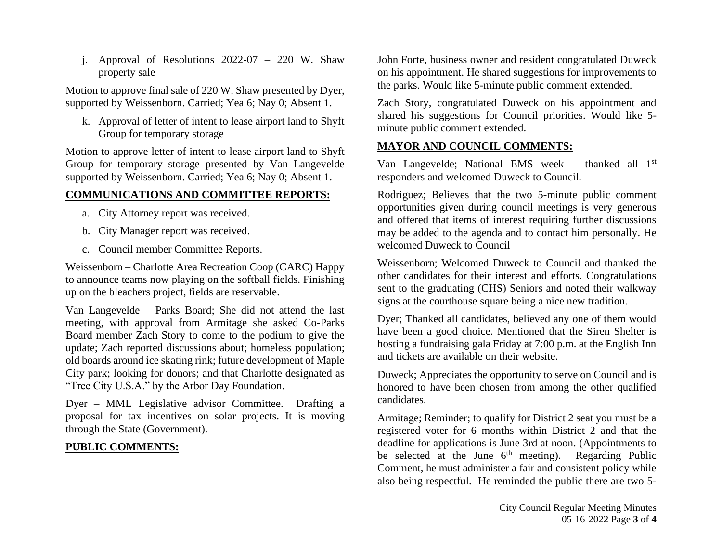j. Approval of Resolutions 2022-07 – 220 W. Shaw property sale

Motion to approve final sale of 220 W. Shaw presented by Dyer, supported by Weissenborn. Carried; Yea 6; Nay 0; Absent 1.

k. Approval of letter of intent to lease airport land to Shyft Group for temporary storage

Motion to approve letter of intent to lease airport land to Shyft Group for temporary storage presented by Van Langevelde supported by Weissenborn. Carried; Yea 6; Nay 0; Absent 1.

#### **COMMUNICATIONS AND COMMITTEE REPORTS:**

- a. City Attorney report was received.
- b. City Manager report was received.
- c. Council member Committee Reports.

Weissenborn – Charlotte Area Recreation Coop (CARC) Happy to announce teams now playing on the softball fields. Finishing up on the bleachers project, fields are reservable.

Van Langevelde – Parks Board; She did not attend the last meeting, with approval from Armitage she asked Co-Parks Board member Zach Story to come to the podium to give the update; Zach reported discussions about; homeless population; old boards around ice skating rink; future development of Maple City park; looking for donors; and that Charlotte designated as "Tree City U.S.A." by the Arbor Day Foundation.

Dyer – MML Legislative advisor Committee. Drafting a proposal for tax incentives on solar projects. It is moving through the State (Government).

#### **PUBLIC COMMENTS:**

John Forte, business owner and resident congratulated Duweck on his appointment. He shared suggestions for improvements to the parks. Would like 5-minute public comment extended.

Zach Story, congratulated Duweck on his appointment and shared his suggestions for Council priorities. Would like 5 minute public comment extended.

## **MAYOR AND COUNCIL COMMENTS:**

Van Langevelde; National EMS week – thanked all 1st responders and welcomed Duweck to Council.

Rodriguez; Believes that the two 5-minute public comment opportunities given during council meetings is very generous and offered that items of interest requiring further discussions may be added to the agenda and to contact him personally. He welcomed Duweck to Council

Weissenborn; Welcomed Duweck to Council and thanked the other candidates for their interest and efforts. Congratulations sent to the graduating (CHS) Seniors and noted their walkway signs at the courthouse square being a nice new tradition.

Dyer; Thanked all candidates, believed any one of them would have been a good choice. Mentioned that the Siren Shelter is hosting a fundraising gala Friday at 7:00 p.m. at the English Inn and tickets are available on their website.

Duweck; Appreciates the opportunity to serve on Council and is honored to have been chosen from among the other qualified candidates.

Armitage; Reminder; to qualify for District 2 seat you must be a registered voter for 6 months within District 2 and that the deadline for applications is June 3rd at noon. (Appointments to be selected at the June  $6<sup>th</sup>$  meeting). Regarding Public Comment, he must administer a fair and consistent policy while also being respectful. He reminded the public there are two 5